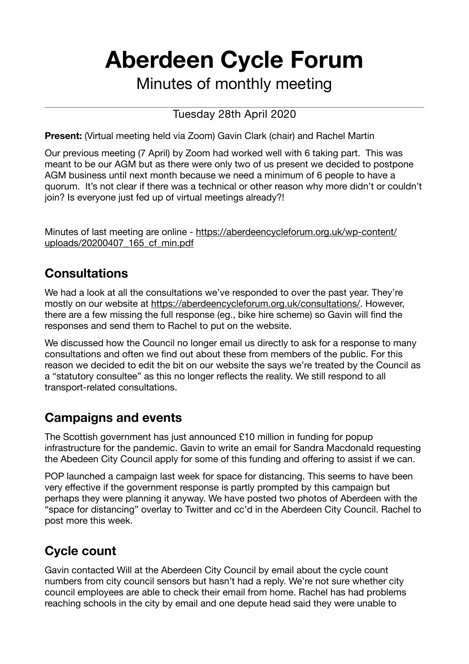# **Aberdeen Cycle Forum**

Minutes of monthly meeting

#### Tuesday 28th April 2020

**Present:** (Virtual meeting held via Zoom) Gavin Clark (chair) and Rachel Martin

Our previous meeting (7 April) by Zoom had worked well with 6 taking part. This was meant to be our AGM but as there were only two of us present we decided to postpone AGM business until next month because we need a minimum of 6 people to have a quorum. It's not clear if there was a technical or other reason why more didn't or couldn't join? Is everyone just fed up of virtual meetings already?!

Minutes of last meeting are online - [https://aberdeencycleforum.org.uk/wp-content/](https://aberdeencycleforum.org.uk/wp-content/uploads/20200407_165_cf_min.pdf) [uploads/20200407\\_165\\_cf\\_min.pdf](https://aberdeencycleforum.org.uk/wp-content/uploads/20200407_165_cf_min.pdf)

### **Consultations**

We had a look at all the consultations we've responded to over the past year. They're mostly on our website at [https://aberdeencycleforum.org.uk/consultations/.](https://aberdeencycleforum.org.uk/consultations/) However, there are a few missing the full response (eg., bike hire scheme) so Gavin will find the responses and send them to Rachel to put on the website.

We discussed how the Council no longer email us directly to ask for a response to many consultations and often we find out about these from members of the public. For this reason we decided to edit the bit on our website the says we're treated by the Council as a "statutory consultee" as this no longer reflects the reality. We still respond to all transport-related consultations.

#### **Campaigns and events**

The Scottish government has just announced £10 million in funding for popup infrastructure for the pandemic. Gavin to write an email for Sandra Macdonald requesting the Abedeen City Council apply for some of this funding and offering to assist if we can.

POP launched a campaign last week for space for distancing. This seems to have been very effective if the government response is partly prompted by this campaign but perhaps they were planning it anyway. We have posted two photos of Aberdeen with the "space for distancing" overlay to Twitter and cc'd in the Aberdeen City Council. Rachel to post more this week.

## **Cycle count**

Gavin contacted Will at the Aberdeen City Council by email about the cycle count numbers from city council sensors but hasn't had a reply. We're not sure whether city council employees are able to check their email from home. Rachel has had problems reaching schools in the city by email and one depute head said they were unable to